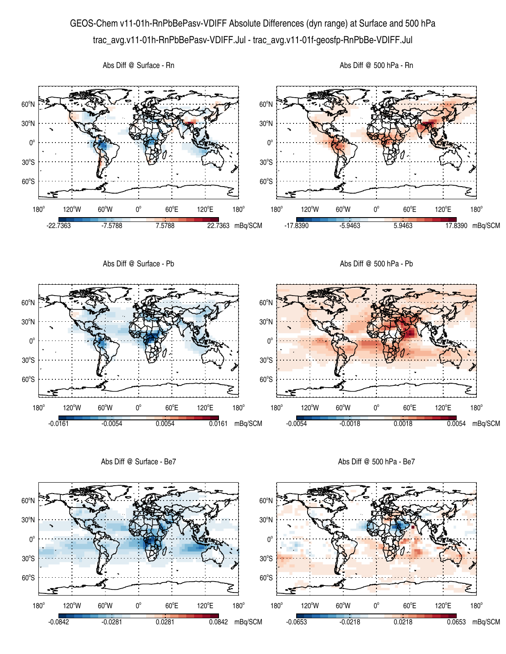## GEOS-Chem v11-01h-RnPbBePasv-VDIFF Absolute Differences (dyn range) at Surface and 500 hPa trac\_avg.v11-01h-RnPbBePasv-VDIFF.Jul - trac\_avg.v11-01f-geosfp-RnPbBe-VDIFF.Jul



Abs Diff @ Surface - Be7

Abs Diff @ 500 hPa - Be7